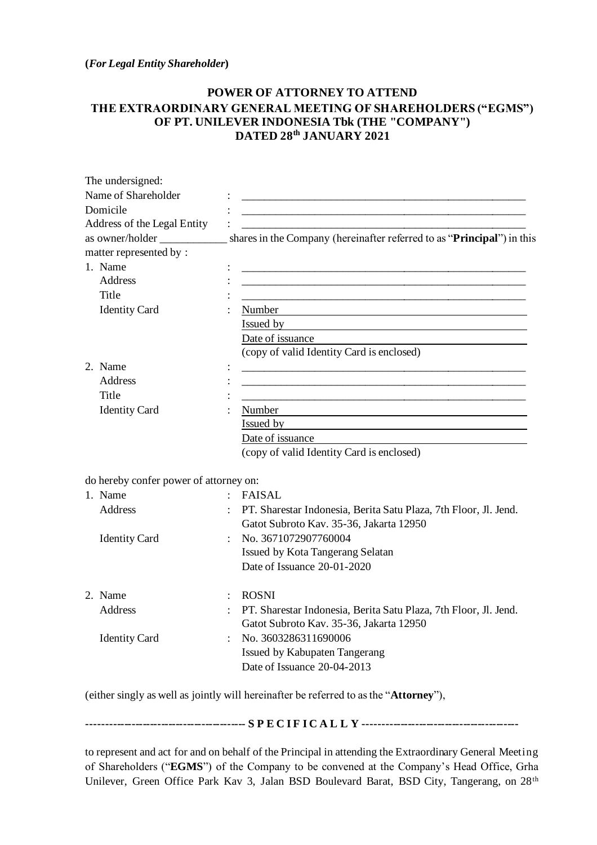**(***For Legal Entity Shareholder***)**

## **POWER OF ATTORNEY TO ATTEND THE EXTRAORDINARY GENERAL MEETING OF SHAREHOLDERS ("EGMS") OF PT. UNILEVER INDONESIA Tbk (THE "COMPANY") DATED 28th JANUARY 2021**

| The undersigned:                       |                                                                                                             |
|----------------------------------------|-------------------------------------------------------------------------------------------------------------|
| Name of Shareholder                    |                                                                                                             |
| Domicile                               |                                                                                                             |
| Address of the Legal Entity            |                                                                                                             |
| as owner/holder                        | shares in the Company (hereinafter referred to as "Principal") in this                                      |
| matter represented by:                 |                                                                                                             |
| 1. Name                                |                                                                                                             |
| <b>Address</b>                         |                                                                                                             |
| Title                                  |                                                                                                             |
| <b>Identity Card</b>                   | Number                                                                                                      |
|                                        | Issued by                                                                                                   |
|                                        | Date of issuance                                                                                            |
|                                        | (copy of valid Identity Card is enclosed)                                                                   |
| 2. Name                                |                                                                                                             |
| <b>Address</b>                         |                                                                                                             |
| Title                                  |                                                                                                             |
| <b>Identity Card</b>                   | Number                                                                                                      |
|                                        | Issued by                                                                                                   |
|                                        | Date of issuance                                                                                            |
|                                        | (copy of valid Identity Card is enclosed)                                                                   |
| do hereby confer power of attorney on: |                                                                                                             |
| 1. Name                                | <b>FAISAL</b><br>$\mathcal{L}$                                                                              |
| <b>Address</b>                         | PT. Sharestar Indonesia, Berita Satu Plaza, 7th Floor, Jl. Jend.<br>Gatot Subroto Kav. 35-36, Jakarta 12950 |
| <b>Identity Card</b>                   | No. 3671072907760004                                                                                        |
|                                        | Issued by Kota Tangerang Selatan                                                                            |
|                                        | Date of Issuance 20-01-2020                                                                                 |
| 2. Name                                | <b>ROSNI</b>                                                                                                |
| Address                                | PT. Sharestar Indonesia, Berita Satu Plaza, 7th Floor, Jl. Jend.                                            |
|                                        | Gatot Subroto Kav. 35-36, Jakarta 12950                                                                     |
| <b>Identity Card</b>                   | No. 3603286311690006                                                                                        |
|                                        | Issued by Kabupaten Tangerang                                                                               |
|                                        | Date of Issuance 20-04-2013                                                                                 |
|                                        |                                                                                                             |

(either singly as well as jointly will hereinafter be referred to as the "**Attorney**"),

**------------------------------------------- S P E C I F I C A L L Y ------------------------------------------**

to represent and act for and on behalf of the Principal in attending the Extraordinary General Meeting of Shareholders ("**EGMS**") of the Company to be convened at the Company's Head Office, Grha Unilever, Green Office Park Kav 3, Jalan BSD Boulevard Barat, BSD City, Tangerang, on 28th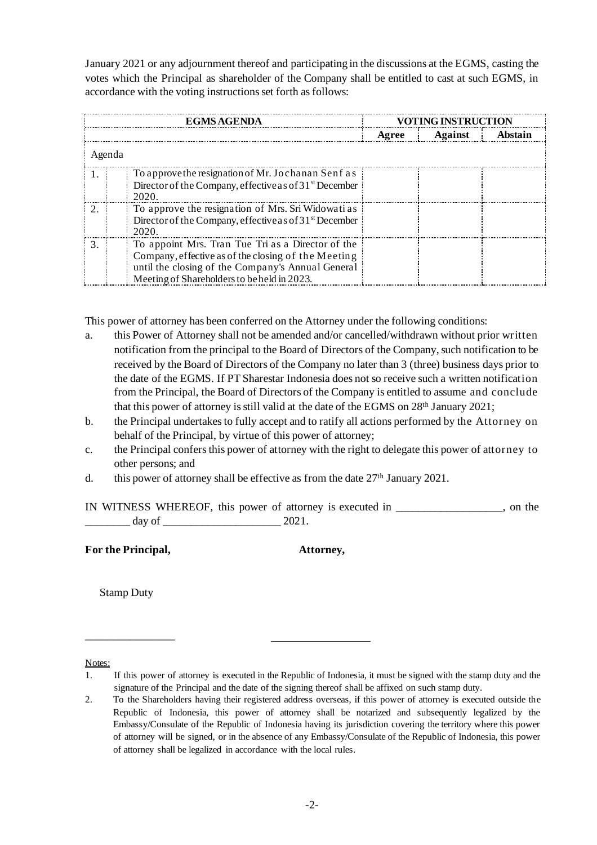January 2021 or any adjournment thereof and participating in the discussions at the EGMS, casting the votes which the Principal as shareholder of the Company shall be entitled to cast at such EGMS, in accordance with the voting instructions set forth as follows:

| <b>EGMS AGENDA</b> |                                                                  | OTING INSTRUCTION |         |         |  |
|--------------------|------------------------------------------------------------------|-------------------|---------|---------|--|
|                    |                                                                  | Agree             | Against | Abstain |  |
| Agenda             |                                                                  |                   |         |         |  |
|                    | To approve the resignation of Mr. Jochanan Senf as               |                   |         |         |  |
|                    | Director of the Company, effective as of $31st$ December<br>2020 |                   |         |         |  |
|                    | To approve the resignation of Mrs. Sri Widowati as               |                   |         |         |  |
|                    | Director of the Company, effective as of $31st$ December<br>2020 |                   |         |         |  |
|                    | To appoint Mrs. Tran Tue Tri as a Director of the                |                   |         |         |  |
|                    | Company, effective as of the closing of the Meeting              |                   |         |         |  |
|                    | until the closing of the Company's Annual General                |                   |         |         |  |
|                    | Meeting of Shareholders to be held in 2023.                      |                   |         |         |  |

This power of attorney has been conferred on the Attorney under the following conditions:

- a. this Power of Attorney shall not be amended and/or cancelled/withdrawn without prior written notification from the principal to the Board of Directors of the Company, such notification to be received by the Board of Directors of the Company no later than 3 (three) business days prior to the date of the EGMS. If PT Sharestar Indonesia does not so receive such a written notification from the Principal, the Board of Directors of the Company is entitled to assume and conclude that this power of attorney is still valid at the date of the EGMS on 28th January 2021;
- b. the Principal undertakes to fully accept and to ratify all actions performed by the Attorney on behalf of the Principal, by virtue of this power of attorney;
- c. the Principal confers this power of attorney with the right to delegate this power of attorney to other persons; and
- d. this power of attorney shall be effective as from the date  $27<sup>th</sup>$  January 2021.

|        | IN WITNESS WHEREOF, this power of attorney is executed in | on |
|--------|-----------------------------------------------------------|----|
| day of | $2021$ .                                                  |    |

|  | For the Principal, |  |
|--|--------------------|--|
|  |                    |  |

**For the Principal, Attorney,**

Stamp Duty

\_\_\_\_\_\_\_\_\_\_\_\_\_\_\_\_

Notes:

<sup>1.</sup> If this power of attorney is executed in the Republic of Indonesia, it must be signed with the stamp duty and the signature of the Principal and the date of the signing thereof shall be affixed on such stamp duty.

<sup>2.</sup> To the Shareholders having their registered address overseas, if this power of attorney is executed outside the Republic of Indonesia, this power of attorney shall be notarized and subsequently legalized by the Embassy/Consulate of the Republic of Indonesia having its jurisdiction covering the territory where this power of attorney will be signed, or in the absence of any Embassy/Consulate of the Republic of Indonesia, this power of attorney shall be legalized in accordance with the local rules.